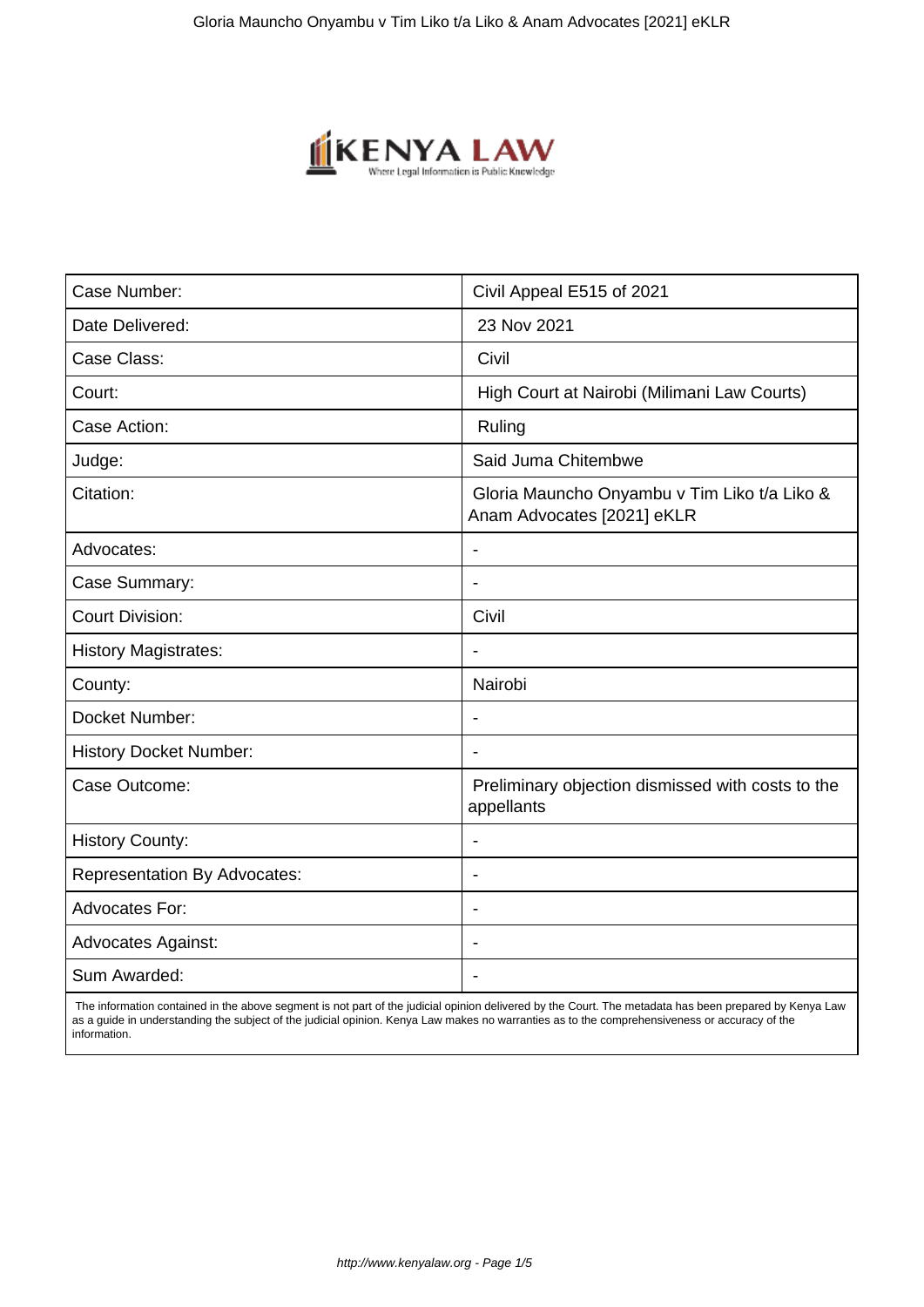

| Case Number:                        | Civil Appeal E515 of 2021                                                  |
|-------------------------------------|----------------------------------------------------------------------------|
| Date Delivered:                     | 23 Nov 2021                                                                |
| Case Class:                         | Civil                                                                      |
| Court:                              | High Court at Nairobi (Milimani Law Courts)                                |
| Case Action:                        | Ruling                                                                     |
| Judge:                              | Said Juma Chitembwe                                                        |
| Citation:                           | Gloria Mauncho Onyambu v Tim Liko t/a Liko &<br>Anam Advocates [2021] eKLR |
| Advocates:                          |                                                                            |
| Case Summary:                       |                                                                            |
| <b>Court Division:</b>              | Civil                                                                      |
| <b>History Magistrates:</b>         |                                                                            |
| County:                             | Nairobi                                                                    |
| Docket Number:                      | $\overline{\phantom{a}}$                                                   |
| <b>History Docket Number:</b>       |                                                                            |
| Case Outcome:                       | Preliminary objection dismissed with costs to the<br>appellants            |
| <b>History County:</b>              |                                                                            |
| <b>Representation By Advocates:</b> | $\blacksquare$                                                             |
| <b>Advocates For:</b>               | ÷                                                                          |
| <b>Advocates Against:</b>           |                                                                            |
| Sum Awarded:                        |                                                                            |

 The information contained in the above segment is not part of the judicial opinion delivered by the Court. The metadata has been prepared by Kenya Law as a guide in understanding the subject of the judicial opinion. Kenya Law makes no warranties as to the comprehensiveness or accuracy of the information.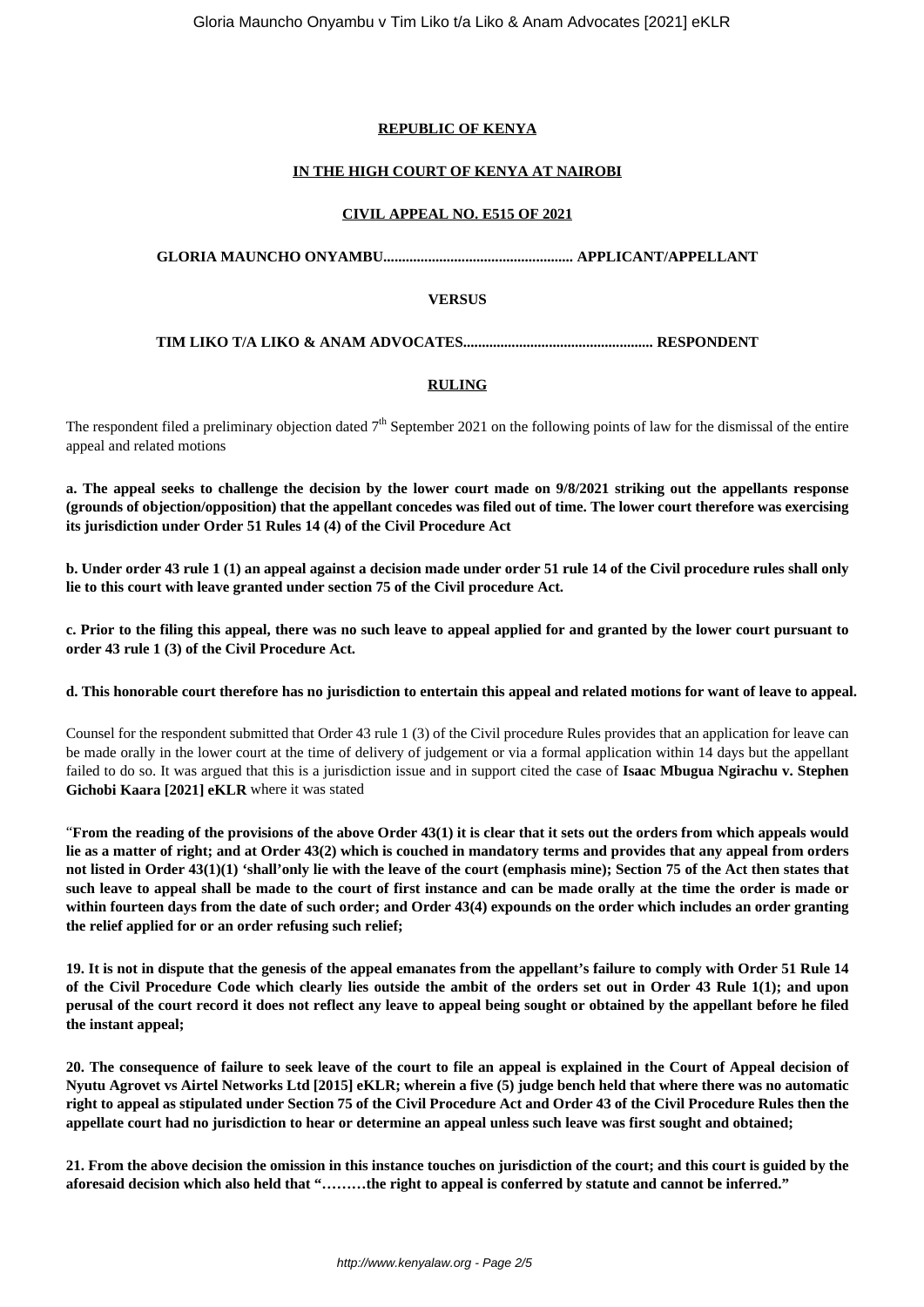# **REPUBLIC OF KENYA**

# **IN THE HIGH COURT OF KENYA AT NAIROBI**

## **CIVIL APPEAL NO. E515 OF 2021**

## **GLORIA MAUNCHO ONYAMBU................................................... APPLICANT/APPELLANT**

## **VERSUS**

## **TIM LIKO T/A LIKO & ANAM ADVOCATES................................................... RESPONDENT**

# **RULING**

The respondent filed a preliminary objection dated  $7<sup>th</sup>$  September 2021 on the following points of law for the dismissal of the entire appeal and related motions

**a. The appeal seeks to challenge the decision by the lower court made on 9/8/2021 striking out the appellants response (grounds of objection/opposition) that the appellant concedes was filed out of time. The lower court therefore was exercising its jurisdiction under Order 51 Rules 14 (4) of the Civil Procedure Act**

**b. Under order 43 rule 1 (1) an appeal against a decision made under order 51 rule 14 of the Civil procedure rules shall only lie to this court with leave granted under section 75 of the Civil procedure Act.**

**c. Prior to the filing this appeal, there was no such leave to appeal applied for and granted by the lower court pursuant to order 43 rule 1 (3) of the Civil Procedure Act.**

#### **d. This honorable court therefore has no jurisdiction to entertain this appeal and related motions for want of leave to appeal.**

Counsel for the respondent submitted that Order 43 rule 1 (3) of the Civil procedure Rules provides that an application for leave can be made orally in the lower court at the time of delivery of judgement or via a formal application within 14 days but the appellant failed to do so. It was argued that this is a jurisdiction issue and in support cited the case of **Isaac Mbugua Ngirachu v. Stephen Gichobi Kaara [2021] eKLR** where it was stated

"**From the reading of the provisions of the above Order 43(1) it is clear that it sets out the orders from which appeals would lie as a matter of right; and at Order 43(2) which is couched in mandatory terms and provides that any appeal from orders not listed in Order 43(1)(1) 'shall'only lie with the leave of the court (emphasis mine); Section 75 of the Act then states that such leave to appeal shall be made to the court of first instance and can be made orally at the time the order is made or within fourteen days from the date of such order; and Order 43(4) expounds on the order which includes an order granting the relief applied for or an order refusing such relief;**

**19. It is not in dispute that the genesis of the appeal emanates from the appellant's failure to comply with Order 51 Rule 14 of the Civil Procedure Code which clearly lies outside the ambit of the orders set out in Order 43 Rule 1(1); and upon perusal of the court record it does not reflect any leave to appeal being sought or obtained by the appellant before he filed the instant appeal;**

**20. The consequence of failure to seek leave of the court to file an appeal is explained in the Court of Appeal decision of Nyutu Agrovet vs Airtel Networks Ltd [2015] eKLR; wherein a five (5) judge bench held that where there was no automatic right to appeal as stipulated under Section 75 of the Civil Procedure Act and Order 43 of the Civil Procedure Rules then the appellate court had no jurisdiction to hear or determine an appeal unless such leave was first sought and obtained;**

**21. From the above decision the omission in this instance touches on jurisdiction of the court; and this court is guided by the aforesaid decision which also held that "………the right to appeal is conferred by statute and cannot be inferred."**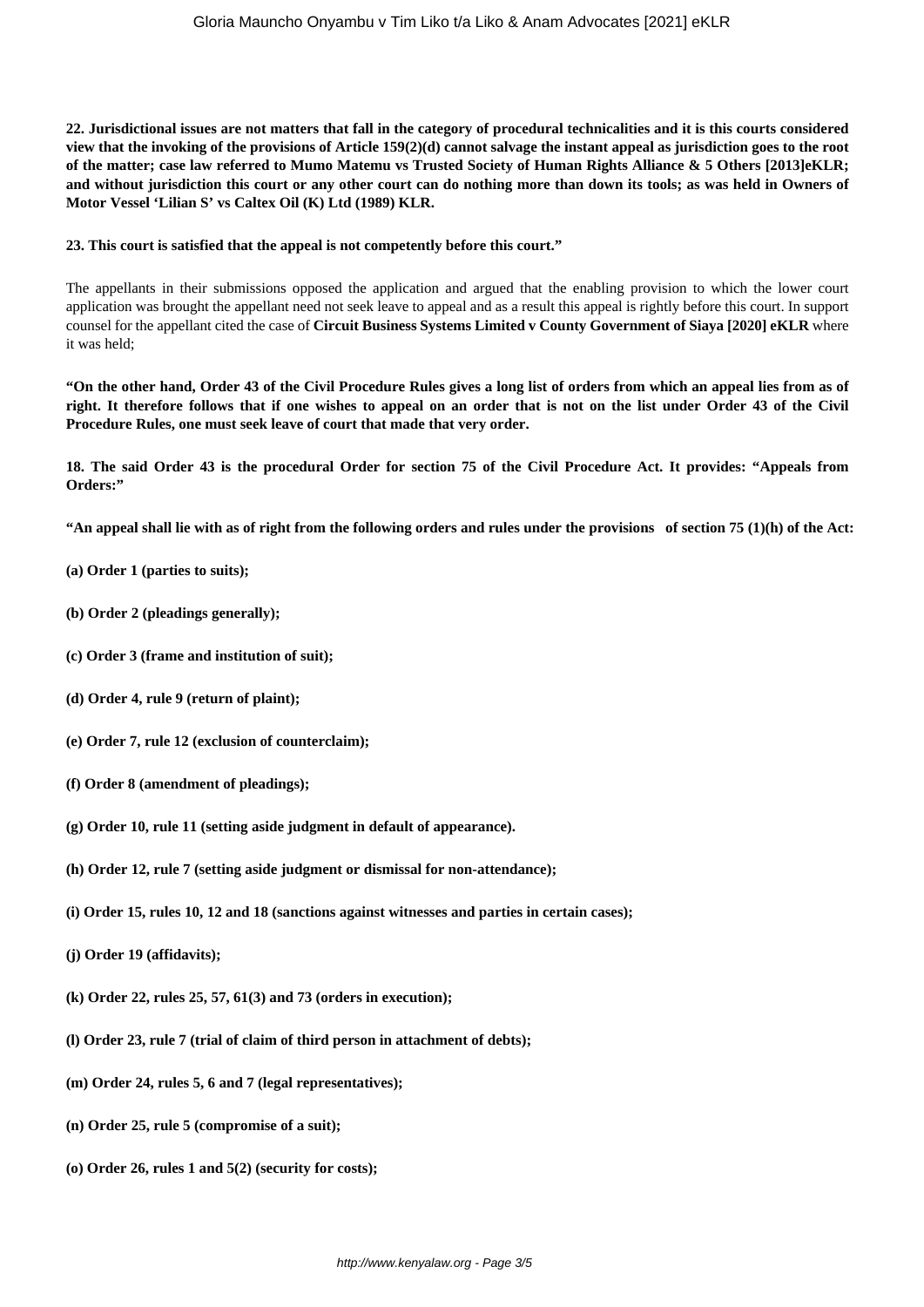**22. Jurisdictional issues are not matters that fall in the category of procedural technicalities and it is this courts considered view that the invoking of the provisions of Article 159(2)(d) cannot salvage the instant appeal as jurisdiction goes to the root of the matter; case law referred to Mumo Matemu vs Trusted Society of Human Rights Alliance & 5 Others [2013]eKLR; and without jurisdiction this court or any other court can do nothing more than down its tools; as was held in Owners of Motor Vessel 'Lilian S' vs Caltex Oil (K) Ltd (1989) KLR.**

## **23. This court is satisfied that the appeal is not competently before this court."**

The appellants in their submissions opposed the application and argued that the enabling provision to which the lower court application was brought the appellant need not seek leave to appeal and as a result this appeal is rightly before this court. In support counsel for the appellant cited the case of **Circuit Business Systems Limited v County Government of Siaya [2020] eKLR** where it was held;

**"On the other hand, Order 43 of the Civil Procedure Rules gives a long list of orders from which an appeal lies from as of right. It therefore follows that if one wishes to appeal on an order that is not on the list under Order 43 of the Civil Procedure Rules, one must seek leave of court that made that very order.**

**18. The said Order 43 is the procedural Order for section 75 of the Civil Procedure Act. It provides: "Appeals from Orders:"**

**"An appeal shall lie with as of right from the following orders and rules under the provisions of section 75 (1)(h) of the Act:**

- **(a) Order 1 (parties to suits);**
- **(b) Order 2 (pleadings generally);**
- **(c) Order 3 (frame and institution of suit);**
- **(d) Order 4, rule 9 (return of plaint);**
- **(e) Order 7, rule 12 (exclusion of counterclaim);**
- **(f) Order 8 (amendment of pleadings);**
- **(g) Order 10, rule 11 (setting aside judgment in default of appearance).**
- **(h) Order 12, rule 7 (setting aside judgment or dismissal for non-attendance);**
- **(i) Order 15, rules 10, 12 and 18 (sanctions against witnesses and parties in certain cases);**
- **(j) Order 19 (affidavits);**
- **(k) Order 22, rules 25, 57, 61(3) and 73 (orders in execution);**
- **(l) Order 23, rule 7 (trial of claim of third person in attachment of debts);**
- **(m) Order 24, rules 5, 6 and 7 (legal representatives);**
- **(n) Order 25, rule 5 (compromise of a suit);**
- **(o) Order 26, rules 1 and 5(2) (security for costs);**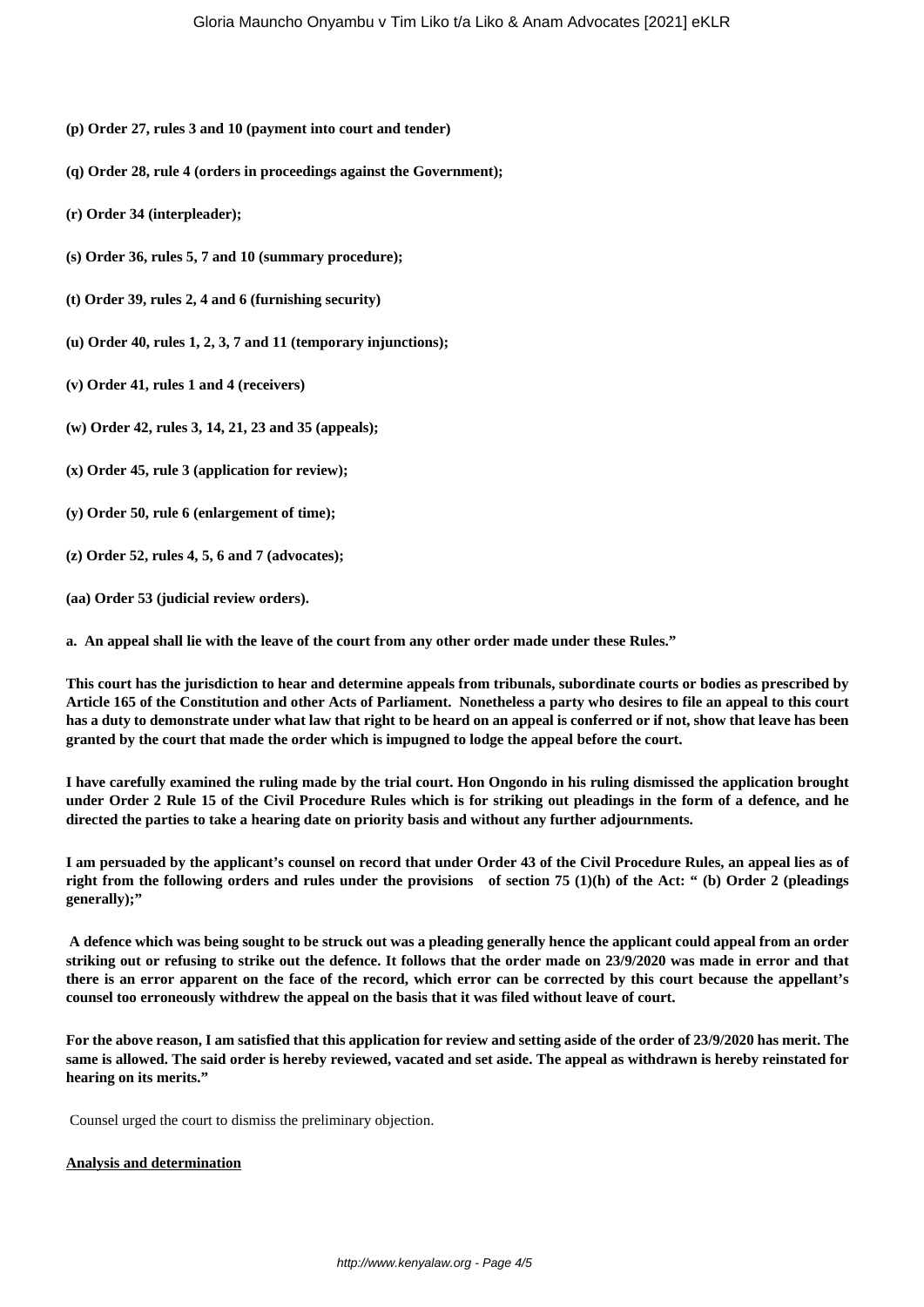- **(p) Order 27, rules 3 and 10 (payment into court and tender)**
- **(q) Order 28, rule 4 (orders in proceedings against the Government);**
- **(r) Order 34 (interpleader);**
- **(s) Order 36, rules 5, 7 and 10 (summary procedure);**
- **(t) Order 39, rules 2, 4 and 6 (furnishing security)**
- **(u) Order 40, rules 1, 2, 3, 7 and 11 (temporary injunctions);**
- **(v) Order 41, rules 1 and 4 (receivers)**
- **(w) Order 42, rules 3, 14, 21, 23 and 35 (appeals);**
- **(x) Order 45, rule 3 (application for review);**
- **(y) Order 50, rule 6 (enlargement of time);**
- **(z) Order 52, rules 4, 5, 6 and 7 (advocates);**
- **(aa) Order 53 (judicial review orders).**

**a. An appeal shall lie with the leave of the court from any other order made under these Rules."**

**This court has the jurisdiction to hear and determine appeals from tribunals, subordinate courts or bodies as prescribed by Article 165 of the Constitution and other Acts of Parliament. Nonetheless a party who desires to file an appeal to this court has a duty to demonstrate under what law that right to be heard on an appeal is conferred or if not, show that leave has been granted by the court that made the order which is impugned to lodge the appeal before the court.**

**I have carefully examined the ruling made by the trial court. Hon Ongondo in his ruling dismissed the application brought under Order 2 Rule 15 of the Civil Procedure Rules which is for striking out pleadings in the form of a defence, and he directed the parties to take a hearing date on priority basis and without any further adjournments.**

**I am persuaded by the applicant's counsel on record that under Order 43 of the Civil Procedure Rules, an appeal lies as of right from the following orders and rules under the provisions of section 75 (1)(h) of the Act: " (b) Order 2 (pleadings generally);"**

**A defence which was being sought to be struck out was a pleading generally hence the applicant could appeal from an order striking out or refusing to strike out the defence. It follows that the order made on 23/9/2020 was made in error and that there is an error apparent on the face of the record, which error can be corrected by this court because the appellant's counsel too erroneously withdrew the appeal on the basis that it was filed without leave of court.**

**For the above reason, I am satisfied that this application for review and setting aside of the order of 23/9/2020 has merit. The same is allowed. The said order is hereby reviewed, vacated and set aside. The appeal as withdrawn is hereby reinstated for hearing on its merits."**

Counsel urged the court to dismiss the preliminary objection.

#### **Analysis and determination**